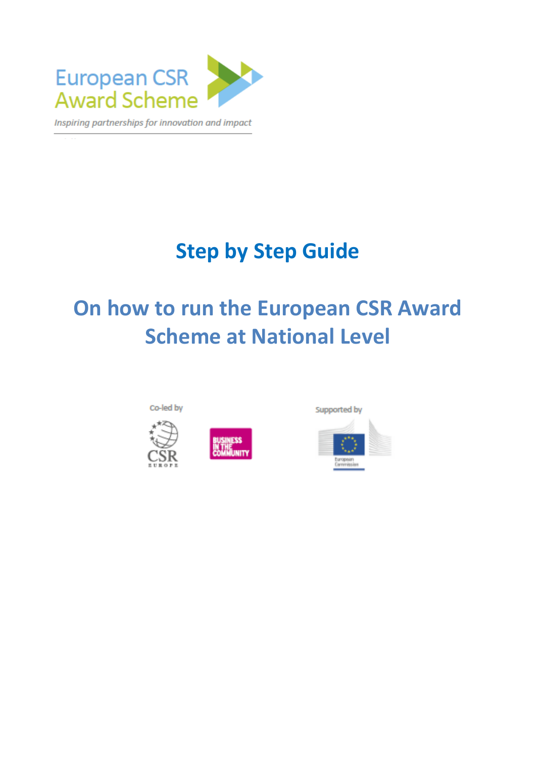

# **Step by Step Guide**

# **On how to run the European CSR Award Scheme at National Level**





Supported by

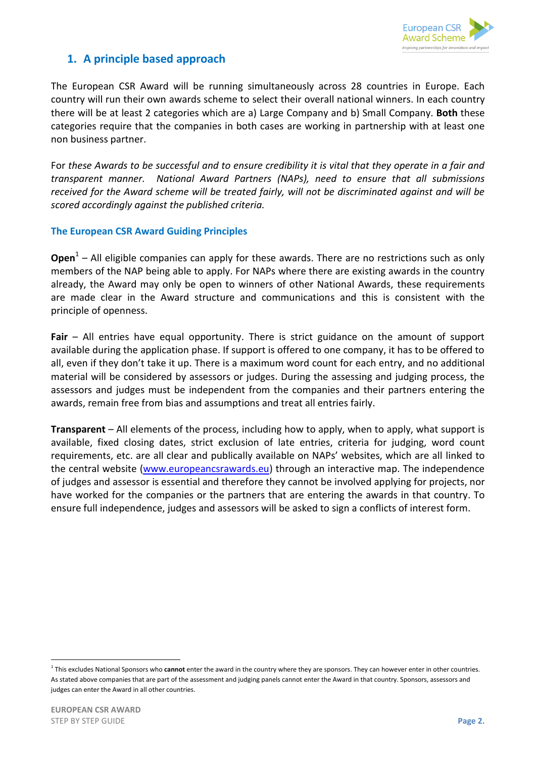

# **1. A principle based approach**

The European CSR Award will be running simultaneously across 28 countries in Europe. Each country will run their own awards scheme to select their overall national winners. In each country there will be at least 2 categories which are a) Large Company and b) Small Company. **Both** these categories require that the companies in both cases are working in partnership with at least one non business partner.

For *these Awards to be successful and to ensure credibility it is vital that they operate in a fair and transparent manner. National Award Partners (NAPs), need to ensure that all submissions received for the Award scheme will be treated fairly, will not be discriminated against and will be scored accordingly against the published criteria.*

### **The European CSR Award Guiding Principles**

**Open**<sup>1</sup> – All eligible companies can apply for these awards. There are no restrictions such as only members of the NAP being able to apply. For NAPs where there are existing awards in the country already, the Award may only be open to winners of other National Awards, these requirements are made clear in the Award structure and communications and this is consistent with the principle of openness.

**Fair** – All entries have equal opportunity. There is strict guidance on the amount of support available during the application phase. If support is offered to one company, it has to be offered to all, even if they don't take it up. There is a maximum word count for each entry, and no additional material will be considered by assessors or judges. During the assessing and judging process, the assessors and judges must be independent from the companies and their partners entering the awards, remain free from bias and assumptions and treat all entries fairly.

**Transparent** – All elements of the process, including how to apply, when to apply, what support is available, fixed closing dates, strict exclusion of late entries, criteria for judging, word count requirements, etc. are all clear and publically available on NAPs' websites, which are all linked to the central website [\(www.europeancsrawards.eu\)](http://www.europeancsrawards.eu/) through an interactive map. The independence of judges and assessor is essential and therefore they cannot be involved applying for projects, nor have worked for the companies or the partners that are entering the awards in that country. To ensure full independence, judges and assessors will be asked to sign a conflicts of interest form.

<u>.</u>

<sup>&</sup>lt;sup>1</sup> This excludes National Sponsors who **cannot** enter the award in the country where they are sponsors. They can however enter in other countries. As stated above companies that are part of the assessment and judging panels cannot enter the Award in that country. Sponsors, assessors and judges can enter the Award in all other countries.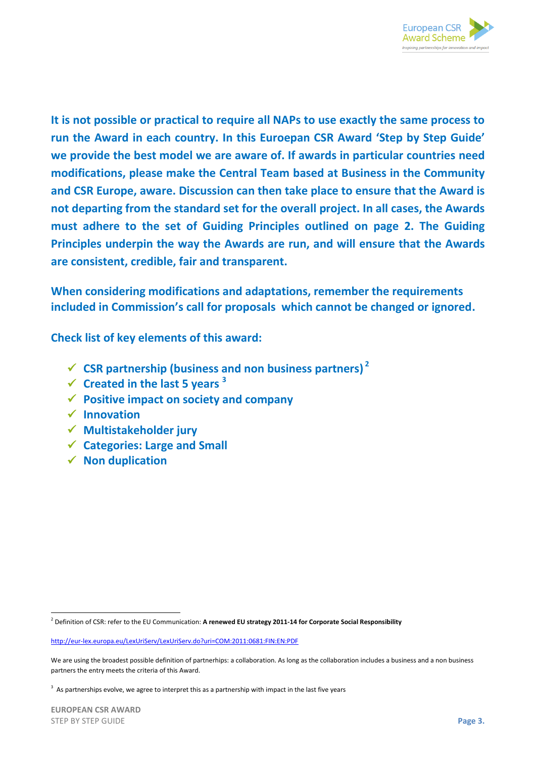

**It is not possible or practical to require all NAPs to use exactly the same process to run the Award in each country. In this Euroepan CSR Award 'Step by Step Guide' we provide the best model we are aware of. If awards in particular countries need modifications, please make the Central Team based at Business in the Community and CSR Europe, aware. Discussion can then take place to ensure that the Award is not departing from the standard set for the overall project. In all cases, the Awards must adhere to the set of Guiding Principles outlined on page 2. The Guiding Principles underpin the way the Awards are run, and will ensure that the Awards are consistent, credible, fair and transparent.**

**When considering modifications and adaptations, remember the requirements included in Commission's call for proposals which cannot be changed or ignored.** 

**Check list of key elements of this award:**

- $\checkmark$  CSR partnership (business and non business partners)<sup>2</sup>
- **Created in the last 5 years <sup>3</sup>**
- **Positive impact on society and company**
- **Innovation**
- **Multistakeholder jury**
- **Categories: Large and Small**
- **√** Non duplication

<u>.</u>

<sup>2</sup> Definition of CSR: refer to the EU Communication: **A renewed EU strategy 2011-14 for Corporate Social Responsibility**

<http://eur-lex.europa.eu/LexUriServ/LexUriServ.do?uri=COM:2011:0681:FIN:EN:PDF>

We are using the broadest possible definition of partnerhips: a collaboration. As long as the collaboration includes a business and a non business partners the entry meets the criteria of this Award.

 $3$  As partnerships evolve, we agree to interpret this as a partnership with impact in the last five years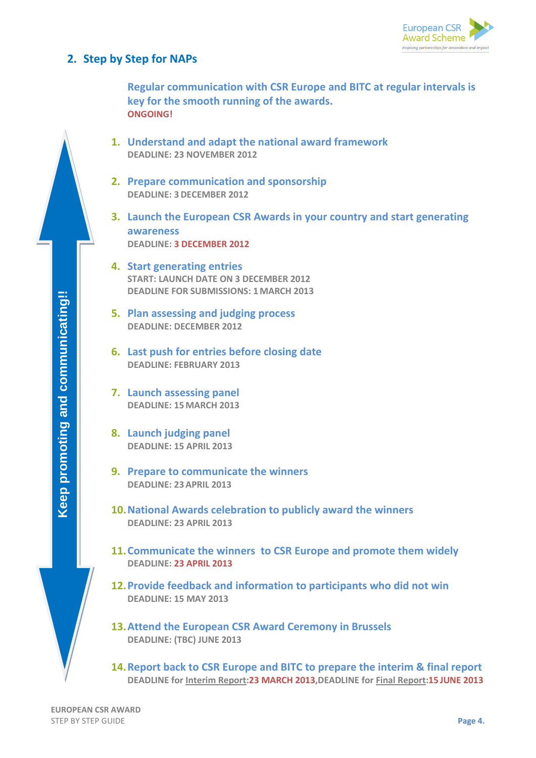

## **2. Step by Step for NAPs**

**Regular communication with CSR Europe and BITC at regular intervals is key for the smooth running of the awards. ONGOING!**

- **1. Understand and adapt the national award framework DEADLINE: 23 NOVEMBER 2012**
- **2. Prepare communication and sponsorship DEADLINE: 3DECEMBER 2012**
- **3. Launch the European CSR Awards in your country and start generating awareness DEADLINE: 3 DECEMBER 2012**
- **4. Start generating entries START: LAUNCH DATE ON 3 DECEMBER 2012 DEADLINE FOR SUBMISSIONS: 1MARCH 2013**
- **5. Plan assessing and judging process DEADLINE: DECEMBER 2012**
- **6. Last push for entries before closing date DEADLINE: FEBRUARY 2013**
- **7. Launch assessing panel DEADLINE: 15MARCH 2013**
- **8. Launch judging panel DEADLINE: 15 APRIL 2013**
- **9. Prepare to communicate the winners DEADLINE: 23APRIL 2013**
- **10.National Awards celebration to publicly award the winners DEADLINE: 23 APRIL 2013**
- **11.Communicate the winners to CSR Europe and promote them widely DEADLINE: 23 APRIL 2013**
- **12.Provide feedback and information to participants who did not win DEADLINE: 15 MAY 2013**
- **13.Attend the European CSR Award Ceremony in Brussels DEADLINE: (TBC) JUNE 2013**
- **14.Report back to CSR Europe and BITC to prepare the interim & final report DEADLINE for Interim Report:23 MARCH 2013,DEADLINE for Final Report:15 JUNE 2013**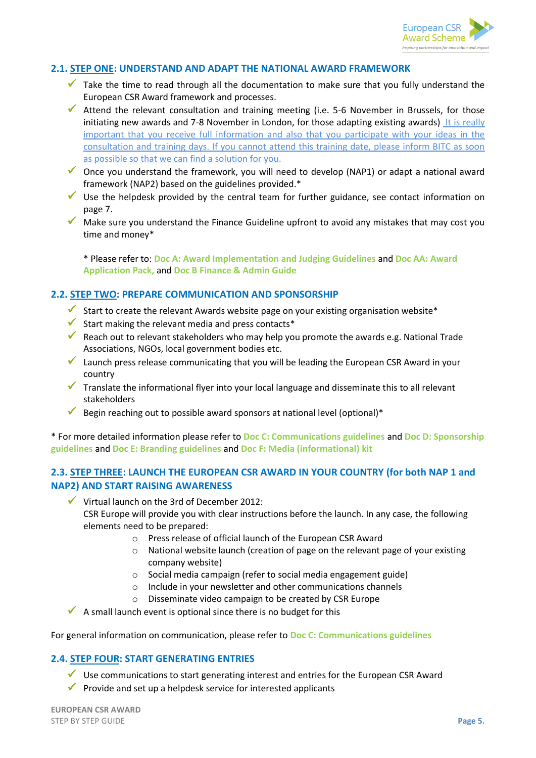

#### **2.1. STEP ONE: UNDERSTAND AND ADAPT THE NATIONAL AWARD FRAMEWORK**

- $\checkmark$  Take the time to read through all the documentation to make sure that you fully understand the European CSR Award framework and processes.
- Attend the relevant consultation and training meeting (i.e. 5-6 November in Brussels, for those initiating new awards and 7-8 November in London, for those adapting existing awards) It is really important that you receive full information and also that you participate with your ideas in the consultation and training days. If you cannot attend this training date, please inform BITC as soon as possible so that we can find a solution for you.
- $\checkmark$  Once you understand the framework, you will need to develop (NAP1) or adapt a national award framework (NAP2) based on the guidelines provided.\*
- $\checkmark$  Use the helpdesk provided by the central team for further guidance, see contact information on page 7.
- Make sure you understand the Finance Guideline upfront to avoid any mistakes that may cost you time and money\*

\* Please refer to: **Doc A: Award Implementation and Judging Guidelines** and **Doc AA: Award Application Pack,** and **Doc B Finance & Admin Guide**

#### **2.2. STEP TWO: PREPARE COMMUNICATION AND SPONSORSHIP**

- Start to create the relevant Awards website page on your existing organisation website\*
- $\checkmark$  Start making the relevant media and press contacts\*
- Reach out to relevant stakeholders who may help you promote the awards e.g. National Trade Associations, NGOs, local government bodies etc.
- Launch press release communicating that you will be leading the European CSR Award in your country
- $\checkmark$  Translate the informational flyer into your local language and disseminate this to all relevant stakeholders
- Begin reaching out to possible award sponsors at national level (optional)\*

\* For more detailed information please refer to **Doc C: Communications guidelines** and **Doc D: Sponsorship guidelines** and **Doc E: Branding guidelines** and **Doc F: Media (informational) kit**

#### **2.3. STEP THREE: LAUNCH THE EUROPEAN CSR AWARD IN YOUR COUNTRY (for both NAP 1 and NAP2) AND START RAISING AWARENESS**

 $\checkmark$  Virtual launch on the 3rd of December 2012: CSR Europe will provide you with clear instructions before the launch. In any case, the following elements need to be prepared:

- o Press release of official launch of the European CSR Award
- $\circ$  National website launch (creation of page on the relevant page of your existing company website)
- o Social media campaign (refer to social media engagement guide)
- o Include in your newsletter and other communications channels
- o Disseminate video campaign to be created by CSR Europe

 $\blacktriangleright$  A small launch event is optional since there is no budget for this

#### For general information on communication, please refer to **Doc C: Communications guidelines**

#### **2.4. STEP FOUR: START GENERATING ENTRIES**

- $\checkmark$  Use communications to start generating interest and entries for the European CSR Award
- $\checkmark$  Provide and set up a helpdesk service for interested applicants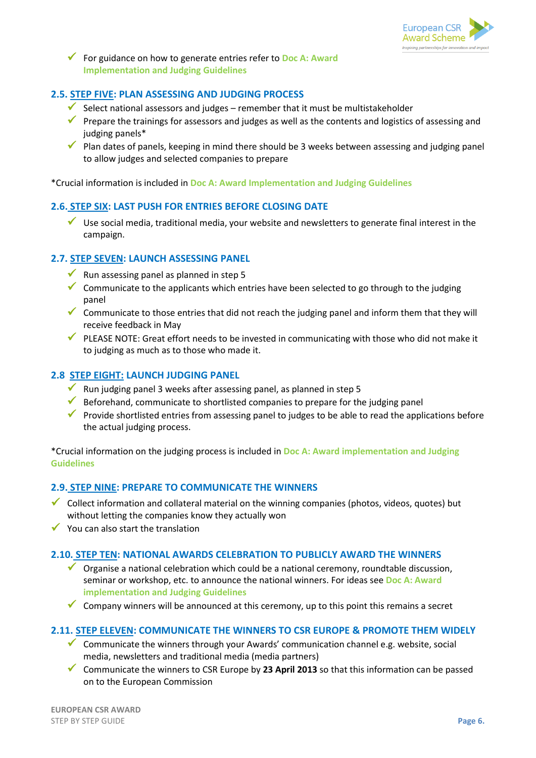

 For guidance on how to generate entries refer to **Doc A: Award Implementation and Judging Guidelines**

## **2.5. STEP FIVE: PLAN ASSESSING AND JUDGING PROCESS**

- Select national assessors and judges remember that it must be multistakeholder
- **Prepare the trainings for assessors and judges as well as the contents and logistics of assessing and** judging panels\*
- $\checkmark$  Plan dates of panels, keeping in mind there should be 3 weeks between assessing and judging panel to allow judges and selected companies to prepare

\*Crucial information is included in **Doc A: Award Implementation and Judging Guidelines**

#### **2.6. STEP SIX: LAST PUSH FOR ENTRIES BEFORE CLOSING DATE**

 Use social media, traditional media, your website and newsletters to generate final interest in the campaign.

#### **2.7. STEP SEVEN: LAUNCH ASSESSING PANEL**

- Run assessing panel as planned in step 5
- Communicate to the applicants which entries have been selected to go through to the judging panel
- $\checkmark$  Communicate to those entries that did not reach the judging panel and inform them that they will receive feedback in May
- $\checkmark$  PLEASE NOTE: Great effort needs to be invested in communicating with those who did not make it to judging as much as to those who made it.

#### **2.8 STEP EIGHT: LAUNCH JUDGING PANEL**

- Run judging panel 3 weeks after assessing panel, as planned in step 5
- $\checkmark$  Beforehand, communicate to shortlisted companies to prepare for the judging panel
- **Provide shortlisted entries from assessing panel to judges to be able to read the applications before** the actual judging process.

\*Crucial information on the judging process is included in **Doc A: Award implementation and Judging Guidelines**

#### **2.9. STEP NINE: PREPARE TO COMMUNICATE THE WINNERS**

- Collect information and collateral material on the winning companies (photos, videos, quotes) but without letting the companies know they actually won
- $\checkmark$  You can also start the translation

#### **2.10. STEP TEN: NATIONAL AWARDS CELEBRATION TO PUBLICLY AWARD THE WINNERS**

- Organise a national celebration which could be a national ceremony, roundtable discussion, seminar or workshop, etc. to announce the national winners. For ideas see **Doc A: Award implementation and Judging Guidelines**
- Company winners will be announced at this ceremony, up to this point this remains a secret

#### **2.11. STEP ELEVEN: COMMUNICATE THE WINNERS TO CSR EUROPE & PROMOTE THEM WIDELY**

- Communicate the winners through your Awards' communication channel e.g. website, social media, newsletters and traditional media (media partners)
- Communicate the winners to CSR Europe by **23 April 2013** so that this information can be passed on to the European Commission